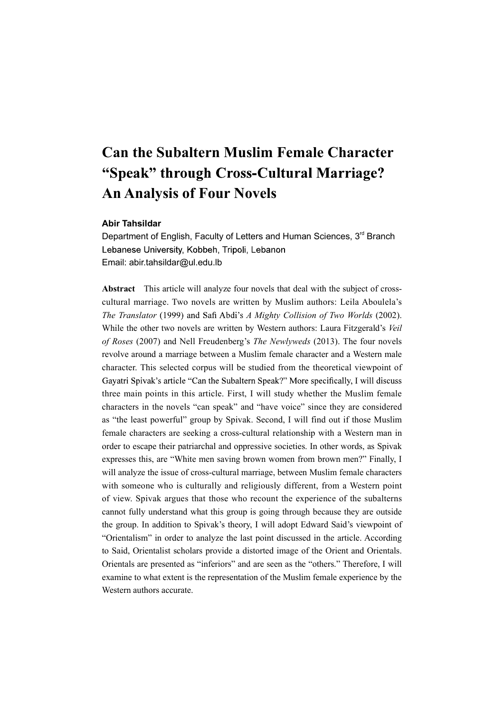# Can the Subaltern Muslim Female Character "Speak" through Cross-Cultural Marriage? An Analysis of Four Novels

# Abir Tahsildar

Department of English, Faculty of Letters and Human Sciences, 3<sup>rd</sup> Branch Lebanese University, Kobbeh, Tripoli, Lebanon Email: abir.tahsildar@ul.edu.lb

Abstract This article will analyze four novels that deal with the subject of crosscultural marriage. Two novels are written by Muslim authors: Leila Aboulela's The Translator (1999) and Safi Abdi's A Mighty Collision of Two Worlds (2002). While the other two novels are written by Western authors: Laura Fitzgerald's Veil of Roses (2007) and Nell Freudenberg's The Newlyweds (2013). The four novels revolve around a marriage between a Muslim female character and a Western male character. This selected corpus will be studied from the theoretical viewpoint of Gayatri Spivak's article "Can the Subaltern Speak?" More specifically, I will discuss three main points in this article. First, I will study whether the Muslim female characters in the novels "can speak" and "have voice" since they are considered as "the least powerful" group by Spivak. Second, I will find out if those Muslim female characters are seeking a cross-cultural relationship with a Western man in order to escape their patriarchal and oppressive societies. In other words, as Spivak expresses this, are "White men saving brown women from brown men?" Finally, I will analyze the issue of cross-cultural marriage, between Muslim female characters with someone who is culturally and religiously different, from a Western point of view. Spivak argues that those who recount the experience of the subalterns cannot fully understand what this group is going through because they are outside the group. In addition to Spivak's theory, I will adopt Edward Said's viewpoint of "Orientalism" in order to analyze the last point discussed in the article. According to Said, Orientalist scholars provide a distorted image of the Orient and Orientals. Orientals are presented as "inferiors" and are seen as the "others." Therefore, I will examine to what extent is the representation of the Muslim female experience by the Western authors accurate.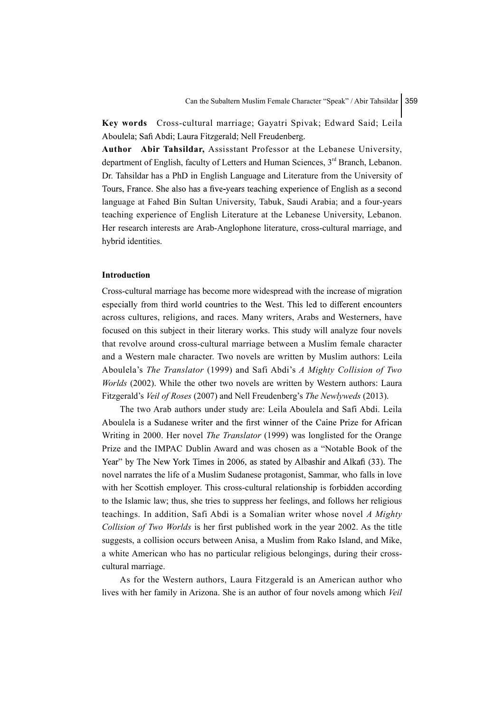Key words Cross-cultural marriage; Gayatri Spivak; Edward Said; Leila Aboulela; Safi Abdi; Laura Fitzgerald; Nell Freudenberg.

Author Abir Tahsildar, Assisstant Professor at the Lebanese University, department of English, faculty of Letters and Human Sciences, 3<sup>rd</sup> Branch, Lebanon. Dr. Tahsildar has a PhD in English Language and Literature from the University of Tours, France. She also has a five-years teaching experience of English as a second language at Fahed Bin Sultan University, Tabuk, Saudi Arabia; and a four-years teaching experience of English Literature at the Lebanese University, Lebanon. Her research interests are Arab-Anglophone literature, cross-cultural marriage, and hybrid identities.

## Introduction

Cross-cultural marriage has become more widespread with the increase of migration especially from third world countries to the West. This led to different encounters across cultures, religions, and races. Many writers, Arabs and Westerners, have focused on this subject in their literary works. This study will analyze four novels that revolve around cross-cultural marriage between a Muslim female character and a Western male character. Two novels are written by Muslim authors: Leila Aboulela's The Translator (1999) and Safi Abdi's A Mighty Collision of Two Worlds (2002). While the other two novels are written by Western authors: Laura Fitzgerald's Veil of Roses (2007) and Nell Freudenberg's The Newlyweds (2013).

The two Arab authors under study are: Leila Aboulela and Safi Abdi. Leila Aboulela is a Sudanese writer and the first winner of the Caine Prize for African Writing in 2000. Her novel The Translator (1999) was longlisted for the Orange Prize and the IMPAC Dublin Award and was chosen as a "Notable Book of the Year" by The New York Times in 2006, as stated by Albashir and Alkafi (33). The novel narrates the life of a Muslim Sudanese protagonist, Sammar, who falls in love with her Scottish employer. This cross-cultural relationship is forbidden according to the Islamic law; thus, she tries to suppress her feelings, and follows her religious teachings. In addition, Safi Abdi is a Somalian writer whose novel A Mighty Collision of Two Worlds is her first published work in the year 2002. As the title suggests, a collision occurs between Anisa, a Muslim from Rako Island, and Mike, a white American who has no particular religious belongings, during their crosscultural marriage.

As for the Western authors, Laura Fitzgerald is an American author who lives with her family in Arizona. She is an author of four novels among which Veil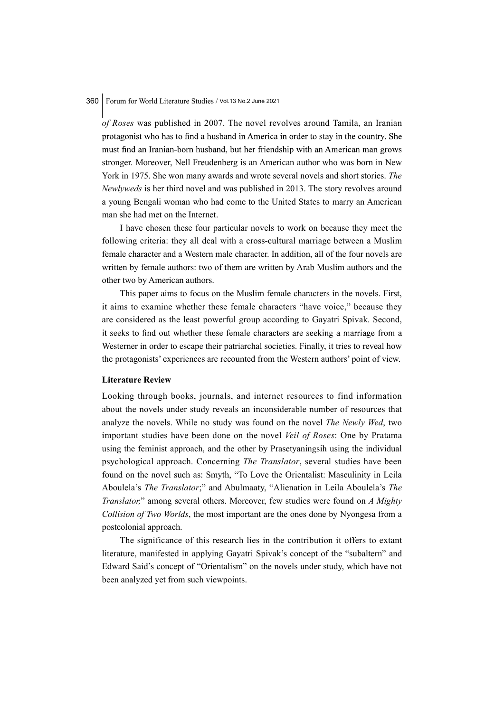of Roses was published in 2007. The novel revolves around Tamila, an Iranian protagonist who has to find a husband in America in order to stay in the country. She must find an Iranian-born husband, but her friendship with an American man grows stronger. Moreover, Nell Freudenberg is an American author who was born in New York in 1975. She won many awards and wrote several novels and short stories. The Newlyweds is her third novel and was published in 2013. The story revolves around a young Bengali woman who had come to the United States to marry an American man she had met on the Internet.

I have chosen these four particular novels to work on because they meet the following criteria: they all deal with a cross-cultural marriage between a Muslim female character and a Western male character. In addition, all of the four novels are written by female authors: two of them are written by Arab Muslim authors and the other two by American authors.

This paper aims to focus on the Muslim female characters in the novels. First, it aims to examine whether these female characters "have voice," because they are considered as the least powerful group according to Gayatri Spivak. Second, it seeks to find out whether these female characters are seeking a marriage from a Westerner in order to escape their patriarchal societies. Finally, it tries to reveal how the protagonists' experiences are recounted from the Western authors' point of view.

#### Literature Review

Looking through books, journals, and internet resources to find information about the novels under study reveals an inconsiderable number of resources that analyze the novels. While no study was found on the novel The Newly Wed, two important studies have been done on the novel Veil of Roses: One by Pratama using the feminist approach, and the other by Prasetyaningsih using the individual psychological approach. Concerning The Translator, several studies have been found on the novel such as: Smyth, "To Love the Orientalist: Masculinity in Leila Aboulela's The Translator;" and Abulmaaty, "Alienation in Leila Aboulela's The Translator," among several others. Moreover, few studies were found on A Mighty Collision of Two Worlds, the most important are the ones done by Nyongesa from a postcolonial approach.

The significance of this research lies in the contribution it offers to extant literature, manifested in applying Gayatri Spivak's concept of the "subaltern" and Edward Said's concept of "Orientalism" on the novels under study, which have not been analyzed yet from such viewpoints.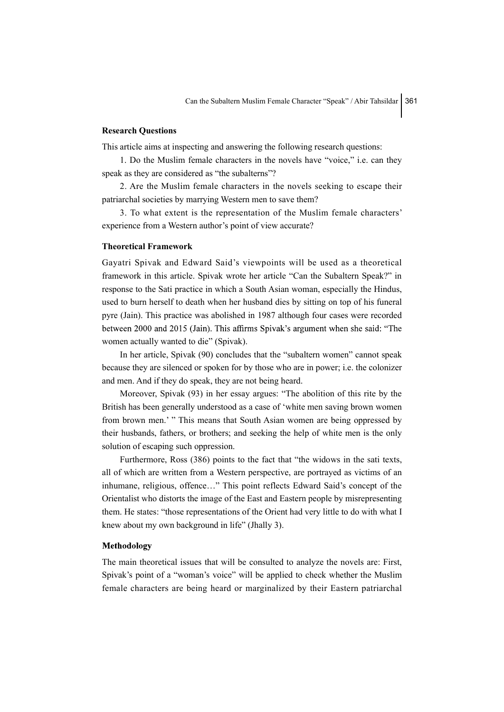# Research Questions

This article aims at inspecting and answering the following research questions:

1. Do the Muslim female characters in the novels have "voice," i.e. can they speak as they are considered as "the subalterns"?

2. Are the Muslim female characters in the novels seeking to escape their patriarchal societies by marrying Western men to save them?

3. To what extent is the representation of the Muslim female characters' experience from a Western author's point of view accurate?

#### Theoretical Framework

Gayatri Spivak and Edward Said's viewpoints will be used as a theoretical framework in this article. Spivak wrote her article "Can the Subaltern Speak?" in response to the Sati practice in which a South Asian woman, especially the Hindus, used to burn herself to death when her husband dies by sitting on top of his funeral pyre (Jain). This practice was abolished in 1987 although four cases were recorded between 2000 and 2015 (Jain). This affirms Spivak's argument when she said: "The women actually wanted to die" (Spivak).

In her article, Spivak (90) concludes that the "subaltern women" cannot speak because they are silenced or spoken for by those who are in power; i.e. the colonizer and men. And if they do speak, they are not being heard.

Moreover, Spivak (93) in her essay argues: "The abolition of this rite by the British has been generally understood as a case of 'white men saving brown women from brown men.' " This means that South Asian women are being oppressed by their husbands, fathers, or brothers; and seeking the help of white men is the only solution of escaping such oppression.

Furthermore, Ross (386) points to the fact that "the widows in the sati texts, all of which are written from a Western perspective, are portrayed as victims of an inhumane, religious, offence…" This point reflects Edward Said's concept of the Orientalist who distorts the image of the East and Eastern people by misrepresenting them. He states: "those representations of the Orient had very little to do with what I knew about my own background in life" (Jhally 3).

## Methodology

The main theoretical issues that will be consulted to analyze the novels are: First, Spivak's point of a "woman's voice" will be applied to check whether the Muslim female characters are being heard or marginalized by their Eastern patriarchal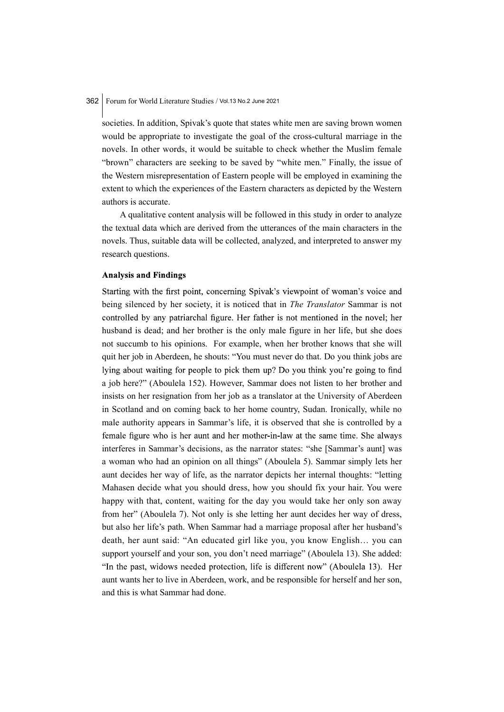societies. In addition, Spivak's quote that states white men are saving brown women would be appropriate to investigate the goal of the cross-cultural marriage in the novels. In other words, it would be suitable to check whether the Muslim female "brown" characters are seeking to be saved by "white men." Finally, the issue of the Western misrepresentation of Eastern people will be employed in examining the extent to which the experiences of the Eastern characters as depicted by the Western authors is accurate.

A qualitative content analysis will be followed in this study in order to analyze the textual data which are derived from the utterances of the main characters in the novels. Thus, suitable data will be collected, analyzed, and interpreted to answer my research questions.

## **Analysis and Findings**

Starting with the first point, concerning Spivak's viewpoint of woman's voice and being silenced by her society, it is noticed that in *The Translator* Sammar is not controlled by any patriarchal figure. Her father is not mentioned in the novel; her husband is dead; and her brother is the only male figure in her life, but she does not succumb to his opinions. For example, when her brother knows that she will quit her job in Aberdeen, he shouts: "You must never do that. Do you think jobs are lying about waiting for people to pick them up? Do you think you're going to find a job here?" (Aboulela 152). However, Sammar does not listen to her brother and insists on her resignation from her job as a translator at the University of Aberdeen in Scotland and on coming back to her home country, Sudan. Ironically, while no male authority appears in Sammar's life, it is observed that she is controlled by a female figure who is her aunt and her mother-in-law at the same time. She always interferes in Sammar's decisions, as the narrator states: "she [Sammar's aunt] was a woman who had an opinion on all things" (Aboulela 5). Sammar simply lets her aunt decides her way of life, as the narrator depicts her internal thoughts: "letting Mahasen decide what you should dress, how you should fix your hair. You were happy with that, content, waiting for the day you would take her only son away from her" (Aboulela 7). Not only is she letting her aunt decides her way of dress, but also her life's path. When Sammar had a marriage proposal after her husband's death, her aunt said: "An educated girl like you, you know English… you can support yourself and your son, you don't need marriage" (Aboulela 13). She added: "In the past, widows needed protection, life is different now" (Aboulela 13). Her aunt wants her to live in Aberdeen, work, and be responsible for herself and her son, and this is what Sammar had done.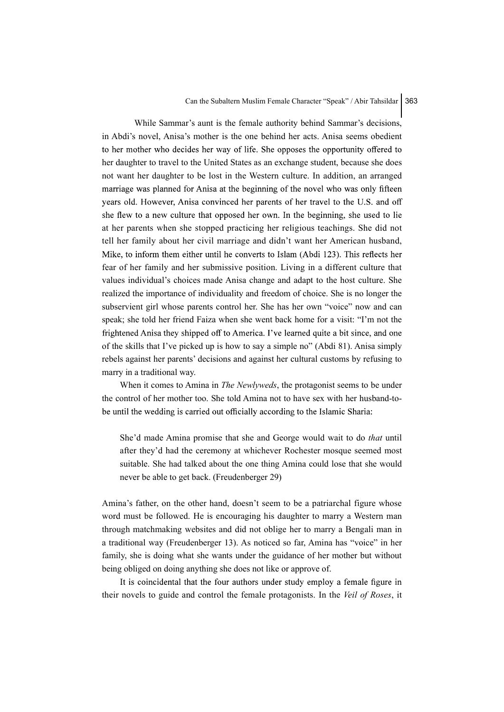While Sammar's aunt is the female authority behind Sammar's decisions, in Abdi's novel, Anisa's mother is the one behind her acts. Anisa seems obedient to her mother who decides her way of life. She opposes the opportunity offered to her daughter to travel to the United States as an exchange student, because she does not want her daughter to be lost in the Western culture. In addition, an arranged marriage was planned for Anisa at the beginning of the novel who was only fifteen years old. However, Anisa convinced her parents of her travel to the U.S. and off she flew to a new culture that opposed her own. In the beginning, she used to lie at her parents when she stopped practicing her religious teachings. She did not tell her family about her civil marriage and didn't want her American husband, Mike, to inform them either until he converts to Islam (Abdi 123). This reflects her fear of her family and her submissive position. Living in a different culture that values individual's choices made Anisa change and adapt to the host culture. She realized the importance of individuality and freedom of choice. She is no longer the subservient girl whose parents control her. She has her own "voice" now and can speak; she told her friend Faiza when she went back home for a visit: "I'm not the frightened Anisa they shipped off to America. I've learned quite a bit since, and one of the skills that I've picked up is how to say a simple no" (Abdi 81). Anisa simply rebels against her parents' decisions and against her cultural customs by refusing to marry in a traditional way.

When it comes to Amina in The Newlyweds, the protagonist seems to be under the control of her mother too. She told Amina not to have sex with her husband-tobe until the wedding is carried out officially according to the Islamic Sharia:

She'd made Amina promise that she and George would wait to do that until after they'd had the ceremony at whichever Rochester mosque seemed most suitable. She had talked about the one thing Amina could lose that she would never be able to get back. (Freudenberger 29)

Amina's father, on the other hand, doesn't seem to be a patriarchal figure whose word must be followed. He is encouraging his daughter to marry a Western man through matchmaking websites and did not oblige her to marry a Bengali man in a traditional way (Freudenberger 13). As noticed so far, Amina has "voice" in her family, she is doing what she wants under the guidance of her mother but without being obliged on doing anything she does not like or approve of.

It is coincidental that the four authors under study employ a female figure in their novels to guide and control the female protagonists. In the Veil of Roses, it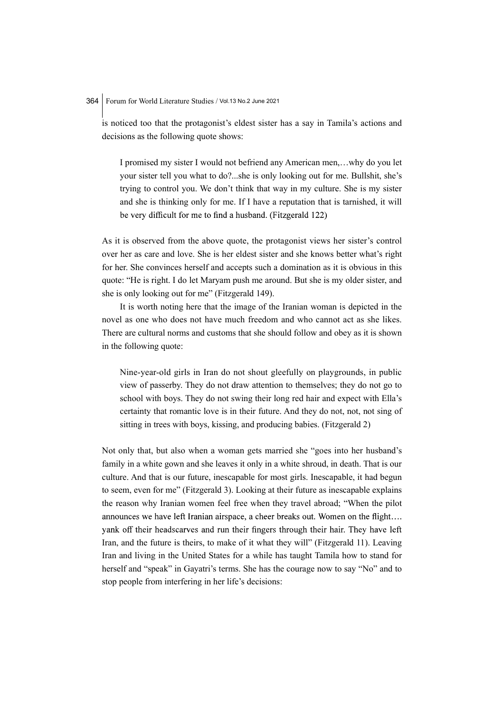is noticed too that the protagonist's eldest sister has a say in Tamila's actions and decisions as the following quote shows:

I promised my sister I would not befriend any American men,…why do you let your sister tell you what to do?...she is only looking out for me. Bullshit, she's trying to control you. We don't think that way in my culture. She is my sister and she is thinking only for me. If I have a reputation that is tarnished, it will be very difficult for me to find a husband. (Fitzgerald 122)

As it is observed from the above quote, the protagonist views her sister's control over her as care and love. She is her eldest sister and she knows better what's right for her. She convinces herself and accepts such a domination as it is obvious in this quote: "He is right. I do let Maryam push me around. But she is my older sister, and she is only looking out for me" (Fitzgerald 149).

It is worth noting here that the image of the Iranian woman is depicted in the novel as one who does not have much freedom and who cannot act as she likes. There are cultural norms and customs that she should follow and obey as it is shown in the following quote:

Nine-year-old girls in Iran do not shout gleefully on playgrounds, in public view of passerby. They do not draw attention to themselves; they do not go to school with boys. They do not swing their long red hair and expect with Ella's certainty that romantic love is in their future. And they do not, not, not sing of sitting in trees with boys, kissing, and producing babies. (Fitzgerald 2)

Not only that, but also when a woman gets married she "goes into her husband's family in a white gown and she leaves it only in a white shroud, in death. That is our culture. And that is our future, inescapable for most girls. Inescapable, it had begun to seem, even for me" (Fitzgerald 3). Looking at their future as inescapable explains the reason why Iranian women feel free when they travel abroad; "When the pilot announces we have left Iranian airspace, a cheer breaks out. Women on the flight.... yank off their headscarves and run their fingers through their hair. They have left Iran, and the future is theirs, to make of it what they will" (Fitzgerald 11). Leaving Iran and living in the United States for a while has taught Tamila how to stand for herself and "speak" in Gayatri's terms. She has the courage now to say "No" and to stop people from interfering in her life's decisions: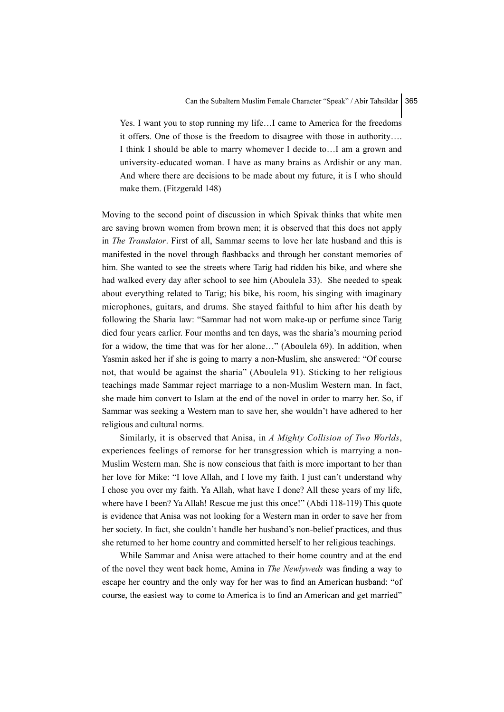Yes. I want you to stop running my life…I came to America for the freedoms it offers. One of those is the freedom to disagree with those in authority…. I think I should be able to marry whomever I decide to…I am a grown and university-educated woman. I have as many brains as Ardishir or any man. And where there are decisions to be made about my future, it is I who should make them. (Fitzgerald 148)

Moving to the second point of discussion in which Spivak thinks that white men are saving brown women from brown men; it is observed that this does not apply in The Translator. First of all, Sammar seems to love her late husband and this is manifested in the novel through flashbacks and through her constant memories of him. She wanted to see the streets where Tarig had ridden his bike, and where she had walked every day after school to see him (Aboulela 33). She needed to speak about everything related to Tarig; his bike, his room, his singing with imaginary microphones, guitars, and drums. She stayed faithful to him after his death by following the Sharia law: "Sammar had not worn make-up or perfume since Tarig died four years earlier. Four months and ten days, was the sharia's mourning period for a widow, the time that was for her alone…" (Aboulela 69). In addition, when Yasmin asked her if she is going to marry a non-Muslim, she answered: "Of course not, that would be against the sharia" (Aboulela 91). Sticking to her religious teachings made Sammar reject marriage to a non-Muslim Western man. In fact, she made him convert to Islam at the end of the novel in order to marry her. So, if Sammar was seeking a Western man to save her, she wouldn't have adhered to her religious and cultural norms.

Similarly, it is observed that Anisa, in A Mighty Collision of Two Worlds, experiences feelings of remorse for her transgression which is marrying a non-Muslim Western man. She is now conscious that faith is more important to her than her love for Mike: "I love Allah, and I love my faith. I just can't understand why I chose you over my faith. Ya Allah, what have I done? All these years of my life, where have I been? Ya Allah! Rescue me just this once!" (Abdi 118-119) This quote is evidence that Anisa was not looking for a Western man in order to save her from her society. In fact, she couldn't handle her husband's non-belief practices, and thus she returned to her home country and committed herself to her religious teachings.

While Sammar and Anisa were attached to their home country and at the end of the novel they went back home, Amina in The Newlyweds was finding a way to escape her country and the only way for her was to find an American husband: "of course, the easiest way to come to America is to find an American and get married"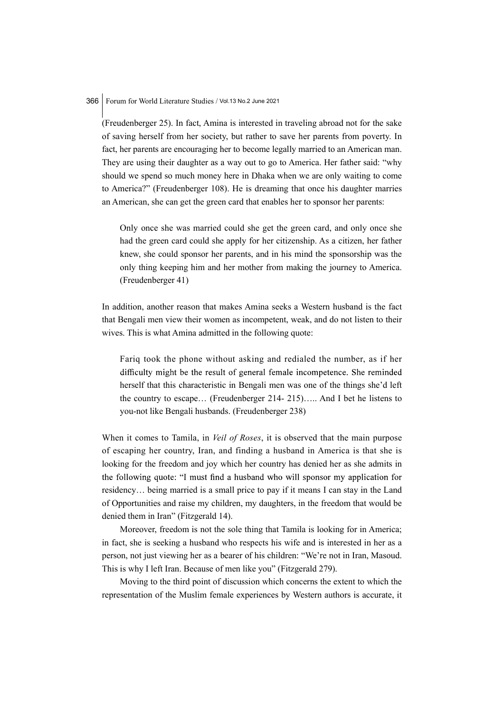(Freudenberger 25). In fact, Amina is interested in traveling abroad not for the sake of saving herself from her society, but rather to save her parents from poverty. In fact, her parents are encouraging her to become legally married to an American man. They are using their daughter as a way out to go to America. Her father said: "why should we spend so much money here in Dhaka when we are only waiting to come to America?" (Freudenberger 108). He is dreaming that once his daughter marries an American, she can get the green card that enables her to sponsor her parents:

Only once she was married could she get the green card, and only once she had the green card could she apply for her citizenship. As a citizen, her father knew, she could sponsor her parents, and in his mind the sponsorship was the only thing keeping him and her mother from making the journey to America. (Freudenberger 41)

In addition, another reason that makes Amina seeks a Western husband is the fact that Bengali men view their women as incompetent, weak, and do not listen to their wives. This is what Amina admitted in the following quote:

Fariq took the phone without asking and redialed the number, as if her difficulty might be the result of general female incompetence. She reminded herself that this characteristic in Bengali men was one of the things she'd left the country to escape… (Freudenberger 214- 215)….. And I bet he listens to you-not like Bengali husbands. (Freudenberger 238)

When it comes to Tamila, in Veil of Roses, it is observed that the main purpose of escaping her country, Iran, and finding a husband in America is that she is looking for the freedom and joy which her country has denied her as she admits in the following quote: "I must find a husband who will sponsor my application for residency… being married is a small price to pay if it means I can stay in the Land of Opportunities and raise my children, my daughters, in the freedom that would be denied them in Iran" (Fitzgerald 14).

Moreover, freedom is not the sole thing that Tamila is looking for in America; in fact, she is seeking a husband who respects his wife and is interested in her as a person, not just viewing her as a bearer of his children: "We're not in Iran, Masoud. This is why I left Iran. Because of men like you" (Fitzgerald 279).

Moving to the third point of discussion which concerns the extent to which the representation of the Muslim female experiences by Western authors is accurate, it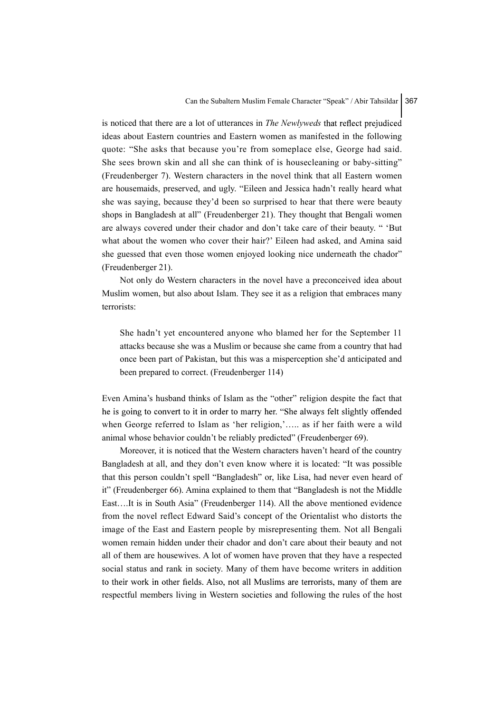is noticed that there are a lot of utterances in *The Newlyweds* that reflect prejudiced ideas about Eastern countries and Eastern women as manifested in the following quote: "She asks that because you're from someplace else, George had said. She sees brown skin and all she can think of is housecleaning or baby-sitting" (Freudenberger 7). Western characters in the novel think that all Eastern women are housemaids, preserved, and ugly. "Eileen and Jessica hadn't really heard what she was saying, because they'd been so surprised to hear that there were beauty shops in Bangladesh at all" (Freudenberger 21). They thought that Bengali women are always covered under their chador and don't take care of their beauty. " 'But what about the women who cover their hair?' Eileen had asked, and Amina said she guessed that even those women enjoyed looking nice underneath the chador" (Freudenberger 21).

Not only do Western characters in the novel have a preconceived idea about Muslim women, but also about Islam. They see it as a religion that embraces many terrorists:

She hadn't yet encountered anyone who blamed her for the September 11 attacks because she was a Muslim or because she came from a country that had once been part of Pakistan, but this was a misperception she'd anticipated and been prepared to correct. (Freudenberger 114)

Even Amina's husband thinks of Islam as the "other" religion despite the fact that he is going to convert to it in order to marry her. "She always felt slightly offended when George referred to Islam as 'her religion,'….. as if her faith were a wild animal whose behavior couldn't be reliably predicted" (Freudenberger 69).

Moreover, it is noticed that the Western characters haven't heard of the country Bangladesh at all, and they don't even know where it is located: "It was possible that this person couldn't spell "Bangladesh" or, like Lisa, had never even heard of it" (Freudenberger 66). Amina explained to them that "Bangladesh is not the Middle East….It is in South Asia" (Freudenberger 114). All the above mentioned evidence from the novel reflect Edward Said's concept of the Orientalist who distorts the image of the East and Eastern people by misrepresenting them. Not all Bengali women remain hidden under their chador and don't care about their beauty and not all of them are housewives. A lot of women have proven that they have a respected social status and rank in society. Many of them have become writers in addition to their work in other fields. Also, not all Muslims are terrorists, many of them are respectful members living in Western societies and following the rules of the host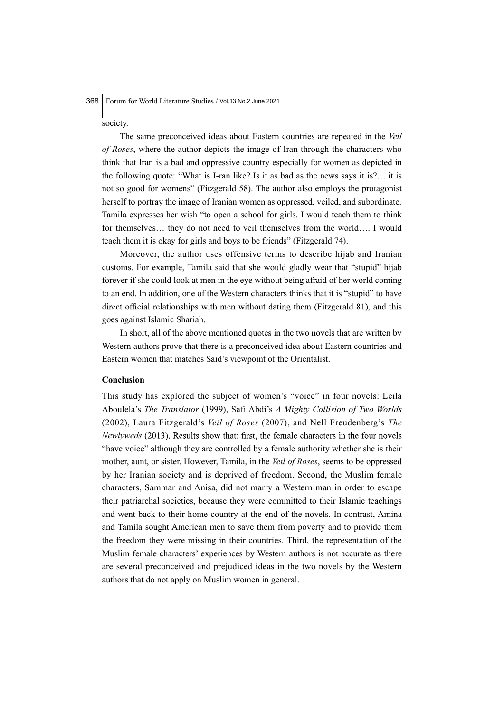society.

The same preconceived ideas about Eastern countries are repeated in the Veil of Roses, where the author depicts the image of Iran through the characters who think that Iran is a bad and oppressive country especially for women as depicted in the following quote: "What is I-ran like? Is it as bad as the news says it is?….it is not so good for womens" (Fitzgerald 58). The author also employs the protagonist herself to portray the image of Iranian women as oppressed, veiled, and subordinate. Tamila expresses her wish "to open a school for girls. I would teach them to think for themselves… they do not need to veil themselves from the world…. I would teach them it is okay for girls and boys to be friends" (Fitzgerald 74).

Moreover, the author uses offensive terms to describe hijab and Iranian customs. For example, Tamila said that she would gladly wear that "stupid" hijab forever if she could look at men in the eye without being afraid of her world coming to an end. In addition, one of the Western characters thinks that it is "stupid" to have direct official relationships with men without dating them (Fitzgerald 81), and this goes against Islamic Shariah.

In short, all of the above mentioned quotes in the two novels that are written by Western authors prove that there is a preconceived idea about Eastern countries and Eastern women that matches Said's viewpoint of the Orientalist.

#### Conclusion

This study has explored the subject of women's "voice" in four novels: Leila Aboulela's The Translator (1999), Safi Abdi's A Mighty Collision of Two Worlds (2002), Laura Fitzgerald's Veil of Roses (2007), and Nell Freudenberg's The *Newlyweds* (2013). Results show that: first, the female characters in the four novels "have voice" although they are controlled by a female authority whether she is their mother, aunt, or sister. However, Tamila, in the Veil of Roses, seems to be oppressed by her Iranian society and is deprived of freedom. Second, the Muslim female characters, Sammar and Anisa, did not marry a Western man in order to escape their patriarchal societies, because they were committed to their Islamic teachings and went back to their home country at the end of the novels. In contrast, Amina and Tamila sought American men to save them from poverty and to provide them the freedom they were missing in their countries. Third, the representation of the Muslim female characters' experiences by Western authors is not accurate as there are several preconceived and prejudiced ideas in the two novels by the Western authors that do not apply on Muslim women in general.